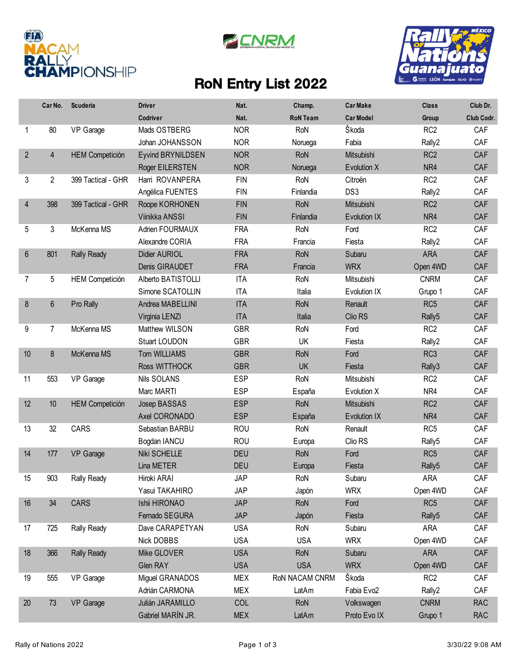





## RoN Entry List 2022

|                | Car No.        | Scuderia               | <b>Driver</b>            | Nat.       | Champ.          | <b>Car Make</b>     | <b>Class</b>       | Club Dr.   |
|----------------|----------------|------------------------|--------------------------|------------|-----------------|---------------------|--------------------|------------|
|                |                |                        | Codriver                 | Nat.       | <b>RoN Team</b> | <b>Car Model</b>    | Group              | Club Codr. |
| 1              | 80             | VP Garage              | Mads OSTBERG             | <b>NOR</b> | RoN             | Škoda               | RC <sub>2</sub>    | CAF        |
|                |                |                        | Johan JOHANSSON          | <b>NOR</b> | Noruega         | Fabia               | Rally2             | CAF        |
| $\overline{2}$ | 4              | <b>HEM Competición</b> | <b>Eyvind BRYNILDSEN</b> | <b>NOR</b> | RoN             | Mitsubishi          | RC <sub>2</sub>    | CAF        |
|                |                |                        | Roger EILERSTEN          | <b>NOR</b> | Noruega         | Evolution X         | NR4                | CAF        |
| 3              | $\overline{2}$ | 399 Tactical - GHR     | Harri ROVANPERA          | <b>FIN</b> | RoN             | Citroën             | RC <sub>2</sub>    | CAF        |
|                |                |                        | Angélica FUENTES         | <b>FIN</b> | Finlandia       | DS3                 | Rally2             | CAF        |
| $\overline{4}$ | 398            | 399 Tactical - GHR     | Roope KORHONEN           | <b>FIN</b> | RoN             | Mitsubishi          | RC <sub>2</sub>    | CAF        |
|                |                |                        | Viinikka ANSSI           | <b>FIN</b> | Finlandia       | Evolution IX        | NR4                | CAF        |
| 5              | 3              | McKenna MS             | Adrien FOURMAUX          | <b>FRA</b> | RoN             | Ford                | RC <sub>2</sub>    | CAF        |
|                |                |                        | Alexandre CORIA          | <b>FRA</b> | Francia         | Fiesta              | Rally2             | CAF        |
| $6\phantom{1}$ | 801            | <b>Rally Ready</b>     | Didier AURIOL            | <b>FRA</b> | RoN             | Subaru              | <b>ARA</b>         | CAF        |
|                |                |                        | Denis GIRAUDET           | <b>FRA</b> | Francia         | <b>WRX</b>          | Open 4WD           | CAF        |
| 7              | 5              | <b>HEM Competición</b> | Alberto BATISTOLLI       | <b>ITA</b> | RoN             | Mitsubishi          | <b>CNRM</b>        | CAF        |
|                |                |                        | Simone SCATOLLIN         | <b>ITA</b> | Italia          | Evolution IX        | Grupo 1            | CAF        |
| 8              | $6\phantom{1}$ | Pro Rally              | Andrea MABELLINI         | <b>ITA</b> | RoN             | Renault             | RC <sub>5</sub>    | CAF        |
|                |                |                        | Virginia LENZI           | <b>ITA</b> | Italia          | Clio RS             | Rally <sub>5</sub> | CAF        |
| 9              | 7              | McKenna MS             | Matthew WILSON           | <b>GBR</b> | RoN             | Ford                | RC <sub>2</sub>    | CAF        |
|                |                |                        | Stuart LOUDON            | <b>GBR</b> | UK              | Fiesta              | Rally2             | CAF        |
| 10             | 8              | McKenna MS             | Tom WILLIAMS             | <b>GBR</b> | RoN             | Ford                | RC <sub>3</sub>    | CAF        |
|                |                |                        | <b>Ross WITTHOCK</b>     | <b>GBR</b> | <b>UK</b>       | Fiesta              | Rally3             | CAF        |
| 11             | 553            | VP Garage              | Nils SOLANS              | <b>ESP</b> | RoN             | Mitsubishi          | RC <sub>2</sub>    | CAF        |
|                |                |                        | Marc MARTI               | <b>ESP</b> | España          | Evolution X         | NR4                | CAF        |
| 12             | 10             | <b>HEM Competición</b> | Josep BASSAS             | <b>ESP</b> | RoN             | Mitsubishi          | RC <sub>2</sub>    | CAF        |
|                |                |                        | Axel CORONADO            | <b>ESP</b> | España          | <b>Evolution IX</b> | NR4                | CAF        |
| 13             | 32             | CARS                   | Sebastian BARBU          | <b>ROU</b> | RoN             | Renault             | RC <sub>5</sub>    | CAF        |
|                |                |                        | Bogdan IANCU             | <b>ROU</b> | Europa          | Clio RS             | Rally <sub>5</sub> | CAF        |
| 14             | 177            | <b>VP</b> Garage       | Niki SCHELLE             | <b>DEU</b> | RoN             | Ford                | RC <sub>5</sub>    | CAF        |
|                |                |                        | Lina METER               | <b>DEU</b> | Europa          | Fiesta              | Rally <sub>5</sub> | CAF        |
| 15             | 903            | <b>Rally Ready</b>     | Hiroki ARAI              | JAP        | RoN             | Subaru              | ARA                | CAF        |
|                |                |                        | Yasui TAKAHIRO           | <b>JAP</b> | Japón           | <b>WRX</b>          | Open 4WD           | CAF        |
| 16             | 34             | CARS                   | Ishii HIRONAO            | <b>JAP</b> | RoN             | Ford                | RC <sub>5</sub>    | CAF        |
|                |                |                        | Fernado SEGURA           | <b>JAP</b> | Japón           | Fiesta              | Rally5             | CAF        |
| 17             | 725            | Rally Ready            | Dave CARAPETYAN          | <b>USA</b> | RoN             | Subaru              | ARA                | CAF        |
|                |                |                        | Nick DOBBS               | <b>USA</b> | <b>USA</b>      | <b>WRX</b>          | Open 4WD           | CAF        |
| 18             | 366            | <b>Rally Ready</b>     | Mike GLOVER              | <b>USA</b> | RoN             | Subaru              | <b>ARA</b>         | CAF        |
|                |                |                        | Glen RAY                 | <b>USA</b> | <b>USA</b>      | <b>WRX</b>          | Open 4WD           | CAF        |
| 19             | 555            | VP Garage              | Miguel GRANADOS          | MEX        | RoN NACAM CNRM  | Škoda               | RC <sub>2</sub>    | CAF        |
|                |                |                        | Adrián CARMONA           | <b>MEX</b> | LatAm           | Fabia Evo2          | Rally2             | CAF        |
| $20\,$         | 73             | VP Garage              | Julián JARAMILLO         | COL        | RoN             | Volkswagen          | <b>CNRM</b>        | <b>RAC</b> |
|                |                |                        | Gabriel MARÍN JR.        | <b>MEX</b> | LatAm           | Proto Evo IX        | Grupo 1            | <b>RAC</b> |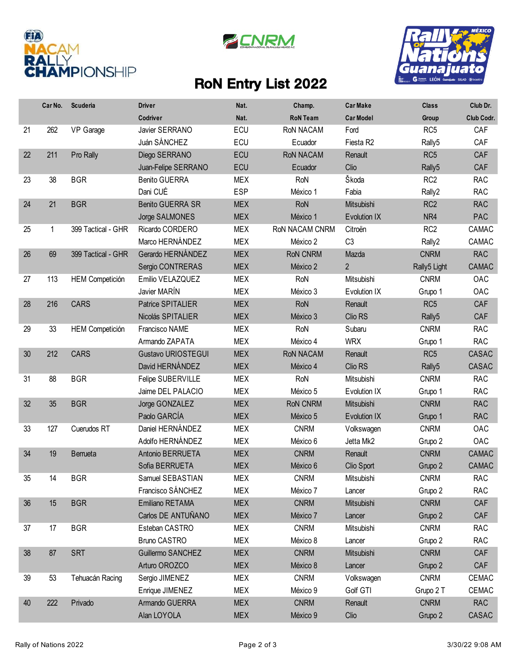





## RoN Entry List 2022

|    | Car No. | Scuderia               | <b>Driver</b>             | Nat.       | Champ.           | <b>Car Make</b>       | <b>Class</b>       | Club Dr.     |
|----|---------|------------------------|---------------------------|------------|------------------|-----------------------|--------------------|--------------|
|    |         |                        | Codriver                  | Nat.       | <b>RoN Team</b>  | <b>Car Model</b>      | Group              | Club Codr.   |
| 21 | 262     | VP Garage              | Javier SERRANO            | ECU        | <b>RoN NACAM</b> | Ford                  | RC <sub>5</sub>    | CAF          |
|    |         |                        | Juán SÁNCHEZ              | ECU        | Ecuador          | Fiesta R <sub>2</sub> | Rally5             | CAF          |
| 22 | 211     | Pro Rally              | Diego SERRANO             | ECU        | <b>RoN NACAM</b> | Renault               | RC <sub>5</sub>    | CAF          |
|    |         |                        | Juan-Felipe SERRANO       | ECU        | Ecuador          | Clio                  | Rally <sub>5</sub> | CAF          |
| 23 | 38      | <b>BGR</b>             | <b>Benito GUERRA</b>      | <b>MEX</b> | RoN              | Škoda                 | RC <sub>2</sub>    | <b>RAC</b>   |
|    |         |                        | Dani CUÉ                  | <b>ESP</b> | México 1         | Fabia                 | Rally2             | <b>RAC</b>   |
| 24 | 21      | <b>BGR</b>             | <b>Benito GUERRA SR</b>   | <b>MEX</b> | RoN              | Mitsubishi            | RC <sub>2</sub>    | <b>RAC</b>   |
|    |         |                        | Jorge SALMONES            | <b>MEX</b> | México 1         | Evolution IX          | NR4                | PAC          |
| 25 | 1       | 399 Tactical - GHR     | Ricardo CORDERO           | <b>MEX</b> | RoN NACAM CNRM   | Citroën               | RC <sub>2</sub>    | CAMAC        |
|    |         |                        | Marco HERNÁNDEZ           | <b>MEX</b> | México 2         | C <sub>3</sub>        | Rally2             | CAMAC        |
| 26 | 69      | 399 Tactical - GHR     | Gerardo HERNÁNDEZ         | <b>MEX</b> | <b>RoN CNRM</b>  | Mazda                 | <b>CNRM</b>        | <b>RAC</b>   |
|    |         |                        | Sergio CONTRERAS          | <b>MEX</b> | México 2         | $\overline{2}$        | Rally5 Light       | CAMAC        |
| 27 | 113     | <b>HEM Competición</b> | Emilio VELAZQUEZ          | <b>MEX</b> | RoN              | Mitsubishi            | <b>CNRM</b>        | OAC          |
|    |         |                        | Javier MARÍN              | <b>MEX</b> | México 3         | Evolution IX          | Grupo 1            | OAC          |
| 28 | 216     | <b>CARS</b>            | Patrice SPITALIER         | <b>MEX</b> | <b>RoN</b>       | Renault               | RC <sub>5</sub>    | CAF          |
|    |         |                        | Nicolás SPITALIER         | <b>MEX</b> | México 3         | Clio RS               | Rally <sub>5</sub> | CAF          |
| 29 | 33      | <b>HEM Competición</b> | Francisco NAME            | <b>MEX</b> | RoN              | Subaru                | <b>CNRM</b>        | <b>RAC</b>   |
|    |         |                        | Armando ZAPATA            | <b>MEX</b> | México 4         | <b>WRX</b>            | Grupo 1            | <b>RAC</b>   |
| 30 | 212     | <b>CARS</b>            | <b>Gustavo URIOSTEGUI</b> | <b>MEX</b> | <b>RoN NACAM</b> | Renault               | RC <sub>5</sub>    | <b>CASAC</b> |
|    |         |                        | David HERNÁNDEZ           | <b>MEX</b> | México 4         | Clio RS               | Rally <sub>5</sub> | <b>CASAC</b> |
| 31 | 88      | <b>BGR</b>             | Felipe SUBERVILLE         | <b>MEX</b> | RoN              | Mitsubishi            | <b>CNRM</b>        | <b>RAC</b>   |
|    |         |                        | Jaime DEL PALACIO         | <b>MEX</b> | México 5         | Evolution IX          | Grupo 1            | <b>RAC</b>   |
| 32 | 35      | <b>BGR</b>             | Jorge GONZALEZ            | <b>MEX</b> | <b>RoN CNRM</b>  | Mitsubishi            | <b>CNRM</b>        | <b>RAC</b>   |
|    |         |                        | Paolo GARCÍA              | <b>MEX</b> | México 5         | Evolution IX          | Grupo 1            | <b>RAC</b>   |
| 33 | 127     | Cuerudos RT            | Daniel HERNÁNDEZ          | <b>MEX</b> | <b>CNRM</b>      | Volkswagen            | <b>CNRM</b>        | OAC          |
|    |         |                        | Adolfo HERNÁNDEZ          | <b>MEX</b> | México 6         | Jetta Mk2             | Grupo 2            | OAC          |
| 34 | 19      | Berrueta               | Antonio BERRUETA          | <b>MEX</b> | <b>CNRM</b>      | Renault               | <b>CNRM</b>        | CAMAC        |
|    |         |                        | Sofia BERRUETA            | <b>MEX</b> | México 6         | Clio Sport            | Grupo 2            | <b>CAMAC</b> |
| 35 | 14      | <b>BGR</b>             | Samuel SEBASTIAN          | <b>MEX</b> | <b>CNRM</b>      | Mitsubishi            | <b>CNRM</b>        | <b>RAC</b>   |
|    |         |                        | Francisco SÁNCHEZ         | <b>MEX</b> | México 7         | Lancer                | Grupo 2            | <b>RAC</b>   |
| 36 | 15      | <b>BGR</b>             | Emiliano RETAMA           | <b>MEX</b> | <b>CNRM</b>      | Mitsubishi            | <b>CNRM</b>        | CAF          |
|    |         |                        | Carlos DE ANTUÑANO        | <b>MEX</b> | México 7         | Lancer                | Grupo 2            | CAF          |
| 37 | 17      | <b>BGR</b>             | Esteban CASTRO            | MEX        | <b>CNRM</b>      | Mitsubishi            | <b>CNRM</b>        | RAC          |
|    |         |                        | <b>Bruno CASTRO</b>       | <b>MEX</b> | México 8         | Lancer                | Grupo 2            | <b>RAC</b>   |
| 38 | 87      | <b>SRT</b>             | Guillermo SANCHEZ         | <b>MEX</b> | <b>CNRM</b>      | Mitsubishi            | <b>CNRM</b>        | CAF          |
|    |         |                        | Arturo OROZCO             | <b>MEX</b> | México 8         | Lancer                | Grupo 2            | CAF          |
| 39 | 53      | Tehuacán Racing        | Sergio JIMENEZ            | MEX        | <b>CNRM</b>      | Volkswagen            | <b>CNRM</b>        | CEMAC        |
|    |         |                        | Enrique JIMENEZ           | MEX        | México 9         | Golf GTI              | Grupo 2 T          | CEMAC        |
| 40 | 222     | Privado                | Armando GUERRA            | <b>MEX</b> | <b>CNRM</b>      | Renault               | <b>CNRM</b>        | <b>RAC</b>   |
|    |         |                        | Alan LOYOLA               | <b>MEX</b> | México 9         | Clio                  | Grupo 2            | CASAC        |